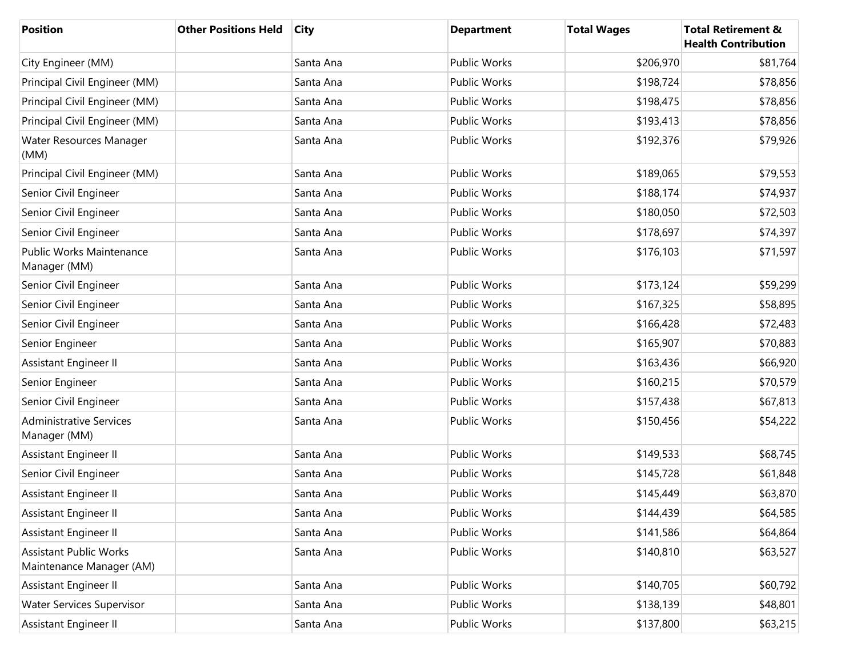| <b>Position</b>                                           | <b>Other Positions Held</b> | City      | <b>Department</b>   | <b>Total Wages</b> | <b>Total Retirement &amp;</b><br><b>Health Contribution</b> |
|-----------------------------------------------------------|-----------------------------|-----------|---------------------|--------------------|-------------------------------------------------------------|
| City Engineer (MM)                                        |                             | Santa Ana | <b>Public Works</b> | \$206,970          | \$81,764                                                    |
| Principal Civil Engineer (MM)                             |                             | Santa Ana | <b>Public Works</b> | \$198,724          | \$78,856                                                    |
| Principal Civil Engineer (MM)                             |                             | Santa Ana | Public Works        | \$198,475          | \$78,856                                                    |
| Principal Civil Engineer (MM)                             |                             | Santa Ana | Public Works        | \$193,413          | \$78,856                                                    |
| Water Resources Manager<br>(MM)                           |                             | Santa Ana | Public Works        | \$192,376          | \$79,926                                                    |
| Principal Civil Engineer (MM)                             |                             | Santa Ana | <b>Public Works</b> | \$189,065          | \$79,553                                                    |
| Senior Civil Engineer                                     |                             | Santa Ana | Public Works        | \$188,174          | \$74,937                                                    |
| Senior Civil Engineer                                     |                             | Santa Ana | Public Works        | \$180,050          | \$72,503                                                    |
| Senior Civil Engineer                                     |                             | Santa Ana | Public Works        | \$178,697          | \$74,397                                                    |
| <b>Public Works Maintenance</b><br>Manager (MM)           |                             | Santa Ana | Public Works        | \$176,103          | \$71,597                                                    |
| Senior Civil Engineer                                     |                             | Santa Ana | <b>Public Works</b> | \$173,124          | \$59,299                                                    |
| Senior Civil Engineer                                     |                             | Santa Ana | <b>Public Works</b> | \$167,325          | \$58,895                                                    |
| Senior Civil Engineer                                     |                             | Santa Ana | Public Works        | \$166,428          | \$72,483                                                    |
| Senior Engineer                                           |                             | Santa Ana | Public Works        | \$165,907          | \$70,883                                                    |
| Assistant Engineer II                                     |                             | Santa Ana | Public Works        | \$163,436          | \$66,920                                                    |
| Senior Engineer                                           |                             | Santa Ana | Public Works        | \$160,215          | \$70,579                                                    |
| Senior Civil Engineer                                     |                             | Santa Ana | Public Works        | \$157,438          | \$67,813                                                    |
| <b>Administrative Services</b><br>Manager (MM)            |                             | Santa Ana | Public Works        | \$150,456          | \$54,222                                                    |
| Assistant Engineer II                                     |                             | Santa Ana | <b>Public Works</b> | \$149,533          | \$68,745                                                    |
| Senior Civil Engineer                                     |                             | Santa Ana | Public Works        | \$145,728          | \$61,848                                                    |
| Assistant Engineer II                                     |                             | Santa Ana | Public Works        | \$145,449          | \$63,870                                                    |
| Assistant Engineer II                                     |                             | Santa Ana | Public Works        | \$144,439          | \$64,585                                                    |
| Assistant Engineer II                                     |                             | Santa Ana | Public Works        | \$141,586          | \$64,864                                                    |
| <b>Assistant Public Works</b><br>Maintenance Manager (AM) |                             | Santa Ana | Public Works        | \$140,810          | \$63,527                                                    |
| Assistant Engineer II                                     |                             | Santa Ana | Public Works        | \$140,705          | \$60,792                                                    |
| <b>Water Services Supervisor</b>                          |                             | Santa Ana | Public Works        | \$138,139          | \$48,801                                                    |
| Assistant Engineer II                                     |                             | Santa Ana | Public Works        | \$137,800          | \$63,215                                                    |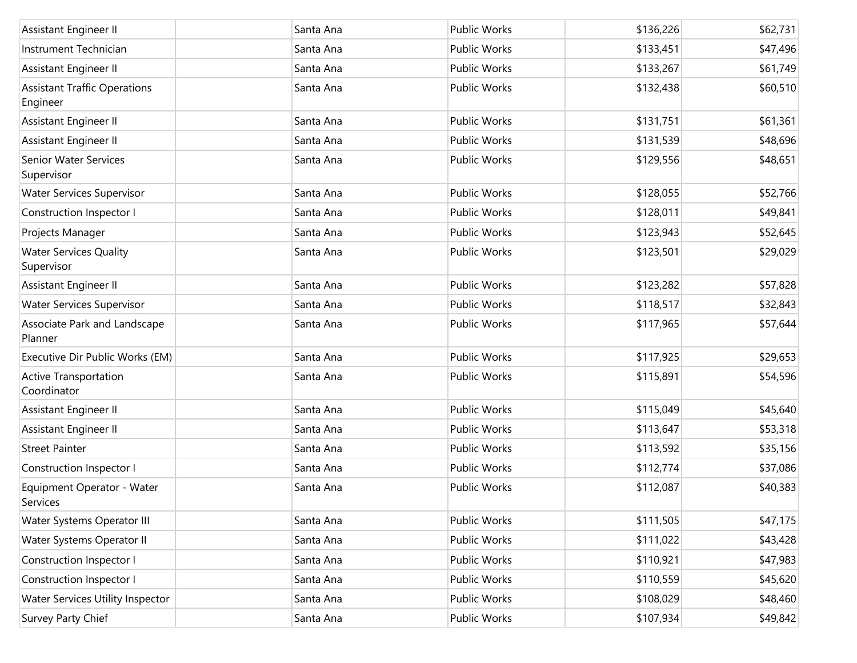| Assistant Engineer II                           | Santa Ana | Public Works        | \$136,226 | \$62,731 |
|-------------------------------------------------|-----------|---------------------|-----------|----------|
| Instrument Technician                           | Santa Ana | Public Works        | \$133,451 | \$47,496 |
| Assistant Engineer II                           | Santa Ana | Public Works        | \$133,267 | \$61,749 |
| <b>Assistant Traffic Operations</b><br>Engineer | Santa Ana | <b>Public Works</b> | \$132,438 | \$60,510 |
| Assistant Engineer II                           | Santa Ana | <b>Public Works</b> | \$131,751 | \$61,361 |
| Assistant Engineer II                           | Santa Ana | <b>Public Works</b> | \$131,539 | \$48,696 |
| Senior Water Services<br>Supervisor             | Santa Ana | Public Works        | \$129,556 | \$48,651 |
| <b>Water Services Supervisor</b>                | Santa Ana | <b>Public Works</b> | \$128,055 | \$52,766 |
| Construction Inspector I                        | Santa Ana | Public Works        | \$128,011 | \$49,841 |
| Projects Manager                                | Santa Ana | Public Works        | \$123,943 | \$52,645 |
| <b>Water Services Quality</b><br>Supervisor     | Santa Ana | <b>Public Works</b> | \$123,501 | \$29,029 |
| Assistant Engineer II                           | Santa Ana | <b>Public Works</b> | \$123,282 | \$57,828 |
| <b>Water Services Supervisor</b>                | Santa Ana | Public Works        | \$118,517 | \$32,843 |
| Associate Park and Landscape<br>Planner         | Santa Ana | Public Works        | \$117,965 | \$57,644 |
| Executive Dir Public Works (EM)                 | Santa Ana | <b>Public Works</b> | \$117,925 | \$29,653 |
| <b>Active Transportation</b><br>Coordinator     | Santa Ana | Public Works        | \$115,891 | \$54,596 |
| Assistant Engineer II                           | Santa Ana | Public Works        | \$115,049 | \$45,640 |
| Assistant Engineer II                           | Santa Ana | Public Works        | \$113,647 | \$53,318 |
| <b>Street Painter</b>                           | Santa Ana | Public Works        | \$113,592 | \$35,156 |
| Construction Inspector I                        | Santa Ana | Public Works        | \$112,774 | \$37,086 |
| Equipment Operator - Water<br>Services          | Santa Ana | Public Works        | \$112,087 | \$40,383 |
| Water Systems Operator III                      | Santa Ana | Public Works        | \$111,505 | \$47,175 |
| Water Systems Operator II                       | Santa Ana | Public Works        | \$111,022 | \$43,428 |
| Construction Inspector I                        | Santa Ana | Public Works        | \$110,921 | \$47,983 |
| Construction Inspector I                        | Santa Ana | Public Works        | \$110,559 | \$45,620 |
| Water Services Utility Inspector                | Santa Ana | Public Works        | \$108,029 | \$48,460 |
| Survey Party Chief                              | Santa Ana | Public Works        | \$107,934 | \$49,842 |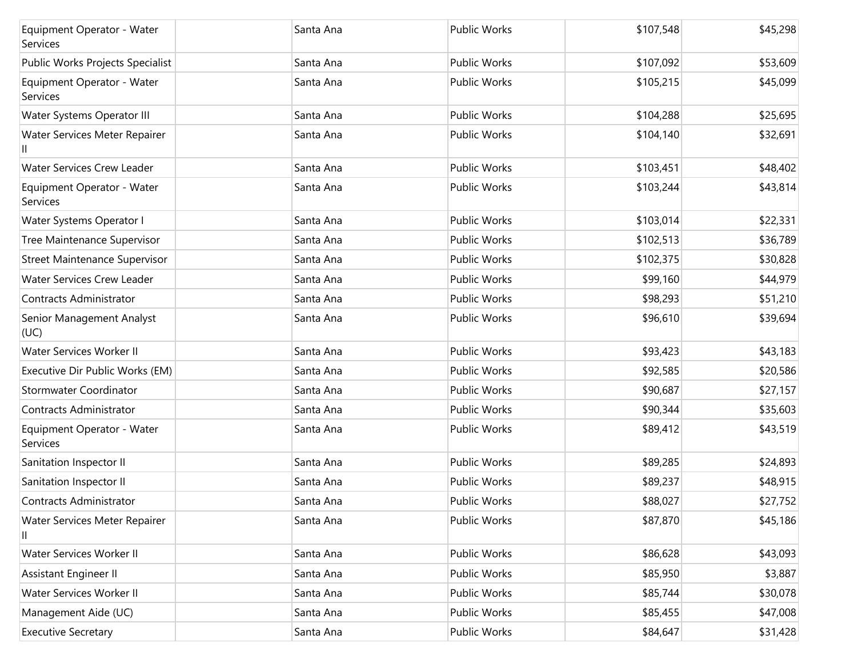| Equipment Operator - Water<br>Services | Santa Ana | Public Works        | \$107,548 | \$45,298 |
|----------------------------------------|-----------|---------------------|-----------|----------|
| Public Works Projects Specialist       | Santa Ana | <b>Public Works</b> | \$107,092 | \$53,609 |
| Equipment Operator - Water<br>Services | Santa Ana | Public Works        | \$105,215 | \$45,099 |
| Water Systems Operator III             | Santa Ana | <b>Public Works</b> | \$104,288 | \$25,695 |
| Water Services Meter Repairer          | Santa Ana | Public Works        | \$104,140 | \$32,691 |
| <b>Water Services Crew Leader</b>      | Santa Ana | <b>Public Works</b> | \$103,451 | \$48,402 |
| Equipment Operator - Water<br>Services | Santa Ana | Public Works        | \$103,244 | \$43,814 |
| Water Systems Operator I               | Santa Ana | Public Works        | \$103,014 | \$22,331 |
| Tree Maintenance Supervisor            | Santa Ana | Public Works        | \$102,513 | \$36,789 |
| <b>Street Maintenance Supervisor</b>   | Santa Ana | Public Works        | \$102,375 | \$30,828 |
| <b>Water Services Crew Leader</b>      | Santa Ana | Public Works        | \$99,160  | \$44,979 |
| Contracts Administrator                | Santa Ana | <b>Public Works</b> | \$98,293  | \$51,210 |
| Senior Management Analyst<br>(UC)      | Santa Ana | <b>Public Works</b> | \$96,610  | \$39,694 |
| Water Services Worker II               | Santa Ana | <b>Public Works</b> | \$93,423  | \$43,183 |
| Executive Dir Public Works (EM)        | Santa Ana | <b>Public Works</b> | \$92,585  | \$20,586 |
| Stormwater Coordinator                 | Santa Ana | Public Works        | \$90,687  | \$27,157 |
| Contracts Administrator                | Santa Ana | <b>Public Works</b> | \$90,344  | \$35,603 |
| Equipment Operator - Water<br>Services | Santa Ana | Public Works        | \$89,412  | \$43,519 |
| Sanitation Inspector II                | Santa Ana | <b>Public Works</b> | \$89,285  | \$24,893 |
| Sanitation Inspector II                | Santa Ana | Public Works        | \$89,237  | \$48,915 |
| Contracts Administrator                | Santa Ana | Public Works        | \$88,027  | \$27,752 |
| Water Services Meter Repairer<br>Ш     | Santa Ana | Public Works        | \$87,870  | \$45,186 |
| Water Services Worker II               | Santa Ana | Public Works        | \$86,628  | \$43,093 |
| Assistant Engineer II                  | Santa Ana | Public Works        | \$85,950  | \$3,887  |
| Water Services Worker II               | Santa Ana | Public Works        | \$85,744  | \$30,078 |
| Management Aide (UC)                   | Santa Ana | Public Works        | \$85,455  | \$47,008 |
| <b>Executive Secretary</b>             | Santa Ana | Public Works        | \$84,647  | \$31,428 |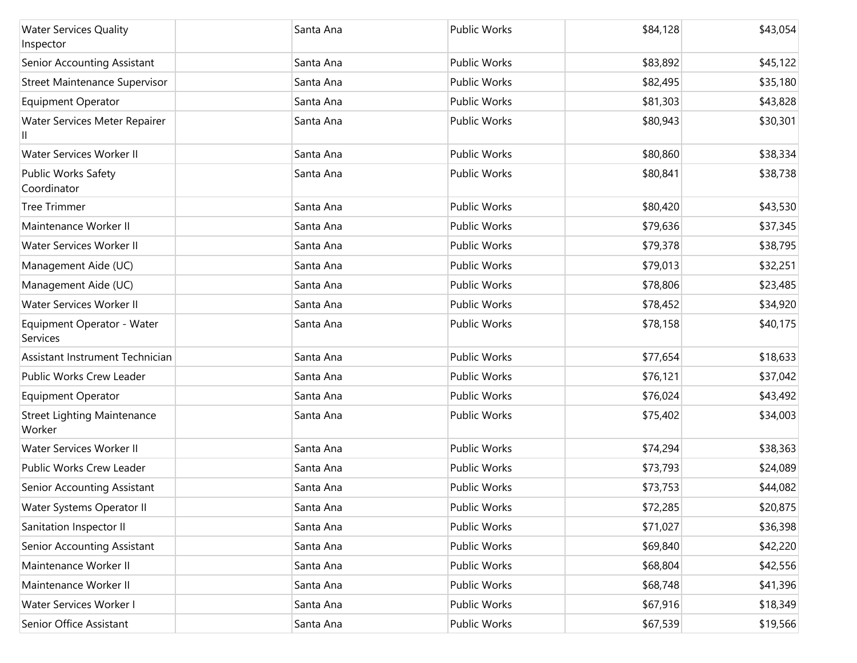| <b>Water Services Quality</b><br>Inspector   | Santa Ana | <b>Public Works</b> | \$84,128 | \$43,054 |
|----------------------------------------------|-----------|---------------------|----------|----------|
| Senior Accounting Assistant                  | Santa Ana | <b>Public Works</b> | \$83,892 | \$45,122 |
| <b>Street Maintenance Supervisor</b>         | Santa Ana | <b>Public Works</b> | \$82,495 | \$35,180 |
| Equipment Operator                           | Santa Ana | Public Works        | \$81,303 | \$43,828 |
| Water Services Meter Repairer<br>Ш           | Santa Ana | Public Works        | \$80,943 | \$30,301 |
| Water Services Worker II                     | Santa Ana | <b>Public Works</b> | \$80,860 | \$38,334 |
| Public Works Safety<br>Coordinator           | Santa Ana | Public Works        | \$80,841 | \$38,738 |
| <b>Tree Trimmer</b>                          | Santa Ana | Public Works        | \$80,420 | \$43,530 |
| Maintenance Worker II                        | Santa Ana | Public Works        | \$79,636 | \$37,345 |
| Water Services Worker II                     | Santa Ana | Public Works        | \$79,378 | \$38,795 |
| Management Aide (UC)                         | Santa Ana | <b>Public Works</b> | \$79,013 | \$32,251 |
| Management Aide (UC)                         | Santa Ana | Public Works        | \$78,806 | \$23,485 |
| Water Services Worker II                     | Santa Ana | Public Works        | \$78,452 | \$34,920 |
| Equipment Operator - Water<br>Services       | Santa Ana | Public Works        | \$78,158 | \$40,175 |
| Assistant Instrument Technician              | Santa Ana | <b>Public Works</b> | \$77,654 | \$18,633 |
| Public Works Crew Leader                     | Santa Ana | Public Works        | \$76,121 | \$37,042 |
| <b>Equipment Operator</b>                    | Santa Ana | Public Works        | \$76,024 | \$43,492 |
| <b>Street Lighting Maintenance</b><br>Worker | Santa Ana | Public Works        | \$75,402 | \$34,003 |
| Water Services Worker II                     | Santa Ana | Public Works        | \$74,294 | \$38,363 |
| Public Works Crew Leader                     | Santa Ana | Public Works        | \$73,793 | \$24,089 |
| Senior Accounting Assistant                  | Santa Ana | Public Works        | \$73,753 | \$44,082 |
| Water Systems Operator II                    | Santa Ana | Public Works        | \$72,285 | \$20,875 |
| Sanitation Inspector II                      | Santa Ana | Public Works        | \$71,027 | \$36,398 |
| Senior Accounting Assistant                  | Santa Ana | Public Works        | \$69,840 | \$42,220 |
| Maintenance Worker II                        | Santa Ana | Public Works        | \$68,804 | \$42,556 |
| Maintenance Worker II                        | Santa Ana | Public Works        | \$68,748 | \$41,396 |
| Water Services Worker I                      | Santa Ana | Public Works        | \$67,916 | \$18,349 |
| Senior Office Assistant                      | Santa Ana | Public Works        | \$67,539 | \$19,566 |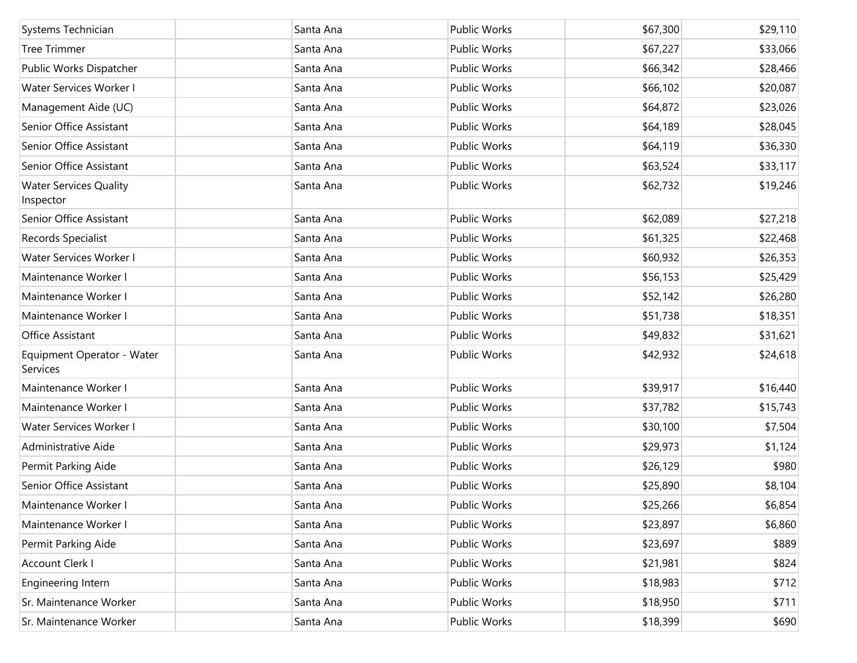| Systems Technician                         | Santa Ana | Public Works        | \$67,300 | \$29,110 |
|--------------------------------------------|-----------|---------------------|----------|----------|
| <b>Tree Trimmer</b>                        | Santa Ana | Public Works        | \$67,227 | \$33,066 |
| Public Works Dispatcher                    | Santa Ana | Public Works        | \$66,342 | \$28,466 |
| Water Services Worker I                    | Santa Ana | <b>Public Works</b> | \$66,102 | \$20,087 |
| Management Aide (UC)                       | Santa Ana | Public Works        | \$64,872 | \$23,026 |
| Senior Office Assistant                    | Santa Ana | Public Works        | \$64,189 | \$28,045 |
| Senior Office Assistant                    | Santa Ana | Public Works        | \$64,119 | \$36,330 |
| Senior Office Assistant                    | Santa Ana | Public Works        | \$63,524 | \$33,117 |
| <b>Water Services Quality</b><br>Inspector | Santa Ana | Public Works        | \$62,732 | \$19,246 |
| Senior Office Assistant                    | Santa Ana | <b>Public Works</b> | \$62,089 | \$27,218 |
| Records Specialist                         | Santa Ana | Public Works        | \$61,325 | \$22,468 |
| Water Services Worker I                    | Santa Ana | Public Works        | \$60,932 | \$26,353 |
| Maintenance Worker I                       | Santa Ana | Public Works        | \$56,153 | \$25,429 |
| Maintenance Worker I                       | Santa Ana | Public Works        | \$52,142 | \$26,280 |
| Maintenance Worker I                       | Santa Ana | <b>Public Works</b> | \$51,738 | \$18,351 |
| Office Assistant                           | Santa Ana | Public Works        | \$49,832 | \$31,621 |
| Equipment Operator - Water<br>Services     | Santa Ana | Public Works        | \$42,932 | \$24,618 |
| Maintenance Worker I                       | Santa Ana | Public Works        | \$39,917 | \$16,440 |
| Maintenance Worker I                       | Santa Ana | Public Works        | \$37,782 | \$15,743 |
| Water Services Worker I                    | Santa Ana | Public Works        | \$30,100 | \$7,504  |
| Administrative Aide                        | Santa Ana | <b>Public Works</b> | \$29,973 | \$1,124  |
| Permit Parking Aide                        | Santa Ana | Public Works        | \$26,129 | \$980    |
| Senior Office Assistant                    | Santa Ana | Public Works        | \$25,890 | \$8,104  |
| Maintenance Worker I                       | Santa Ana | Public Works        | \$25,266 | \$6,854  |
| Maintenance Worker I                       | Santa Ana | Public Works        | \$23,897 | \$6,860  |
| Permit Parking Aide                        | Santa Ana | Public Works        | \$23,697 | \$889    |
| Account Clerk I                            | Santa Ana | Public Works        | \$21,981 | \$824    |
| Engineering Intern                         | Santa Ana | Public Works        | \$18,983 | \$712    |
| Sr. Maintenance Worker                     | Santa Ana | Public Works        | \$18,950 | \$711    |
| Sr. Maintenance Worker                     | Santa Ana | Public Works        | \$18,399 | \$690    |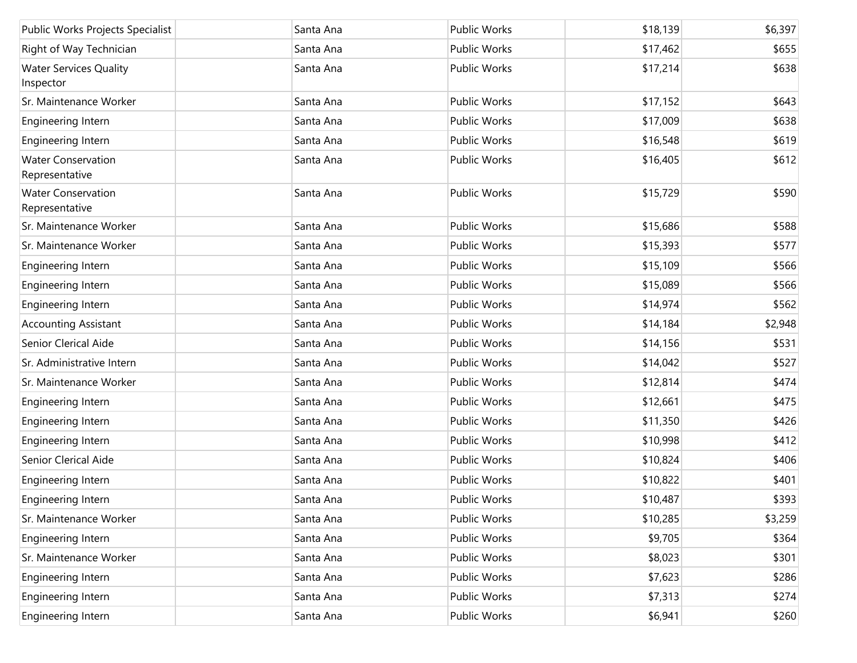| Public Works Projects Specialist            | Santa Ana | Public Works        | \$18,139 | \$6,397 |
|---------------------------------------------|-----------|---------------------|----------|---------|
| Right of Way Technician                     | Santa Ana | <b>Public Works</b> | \$17,462 | \$655   |
| <b>Water Services Quality</b><br>Inspector  | Santa Ana | Public Works        | \$17,214 | \$638   |
| Sr. Maintenance Worker                      | Santa Ana | <b>Public Works</b> | \$17,152 | \$643   |
| Engineering Intern                          | Santa Ana | Public Works        | \$17,009 | \$638   |
| Engineering Intern                          | Santa Ana | Public Works        | \$16,548 | \$619   |
| <b>Water Conservation</b><br>Representative | Santa Ana | Public Works        | \$16,405 | \$612   |
| <b>Water Conservation</b><br>Representative | Santa Ana | <b>Public Works</b> | \$15,729 | \$590   |
| Sr. Maintenance Worker                      | Santa Ana | Public Works        | \$15,686 | \$588   |
| Sr. Maintenance Worker                      | Santa Ana | Public Works        | \$15,393 | \$577   |
| Engineering Intern                          | Santa Ana | Public Works        | \$15,109 | \$566   |
| Engineering Intern                          | Santa Ana | <b>Public Works</b> | \$15,089 | \$566   |
| Engineering Intern                          | Santa Ana | <b>Public Works</b> | \$14,974 | \$562   |
| <b>Accounting Assistant</b>                 | Santa Ana | Public Works        | \$14,184 | \$2,948 |
| Senior Clerical Aide                        | Santa Ana | Public Works        | \$14,156 | \$531   |
| Sr. Administrative Intern                   | Santa Ana | Public Works        | \$14,042 | \$527   |
| Sr. Maintenance Worker                      | Santa Ana | Public Works        | \$12,814 | \$474   |
| Engineering Intern                          | Santa Ana | Public Works        | \$12,661 | \$475   |
| Engineering Intern                          | Santa Ana | Public Works        | \$11,350 | \$426   |
| Engineering Intern                          | Santa Ana | Public Works        | \$10,998 | \$412   |
| Senior Clerical Aide                        | Santa Ana | <b>Public Works</b> | \$10,824 | \$406   |
| Engineering Intern                          | Santa Ana | Public Works        | \$10,822 | \$401   |
| Engineering Intern                          | Santa Ana | Public Works        | \$10,487 | \$393   |
| Sr. Maintenance Worker                      | Santa Ana | Public Works        | \$10,285 | \$3,259 |
| Engineering Intern                          | Santa Ana | Public Works        | \$9,705  | \$364   |
| Sr. Maintenance Worker                      | Santa Ana | Public Works        | \$8,023  | \$301   |
| Engineering Intern                          | Santa Ana | Public Works        | \$7,623  | \$286   |
| Engineering Intern                          | Santa Ana | Public Works        | \$7,313  | \$274   |
| Engineering Intern                          | Santa Ana | Public Works        | \$6,941  | \$260   |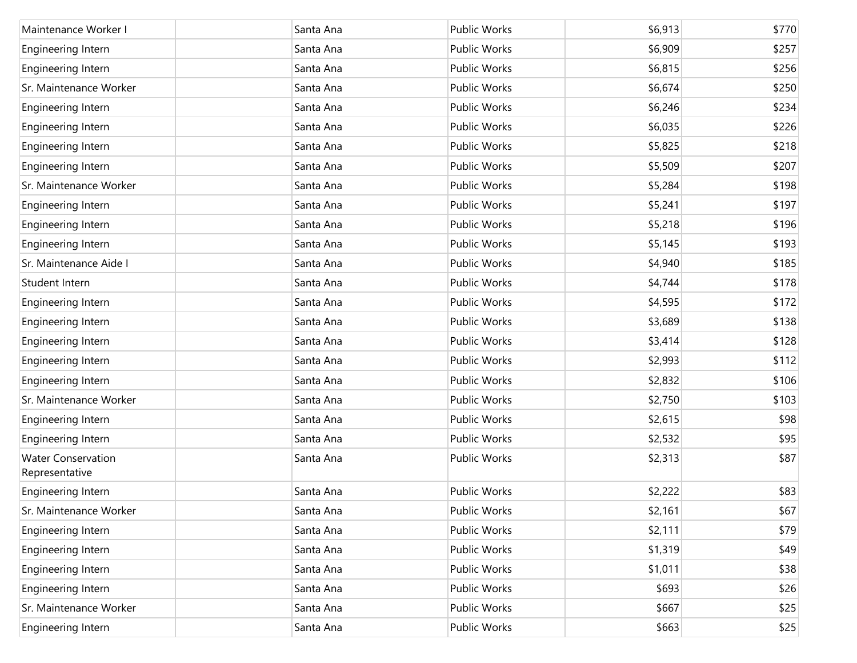| Maintenance Worker I                        | Santa Ana | Public Works        | \$6,913 | \$770 |
|---------------------------------------------|-----------|---------------------|---------|-------|
| Engineering Intern                          | Santa Ana | Public Works        | \$6,909 | \$257 |
| Engineering Intern                          | Santa Ana | Public Works        | \$6,815 | \$256 |
| Sr. Maintenance Worker                      | Santa Ana | Public Works        | \$6,674 | \$250 |
| Engineering Intern                          | Santa Ana | Public Works        | \$6,246 | \$234 |
| Engineering Intern                          | Santa Ana | Public Works        | \$6,035 | \$226 |
| Engineering Intern                          | Santa Ana | Public Works        | \$5,825 | \$218 |
| Engineering Intern                          | Santa Ana | Public Works        | \$5,509 | \$207 |
| Sr. Maintenance Worker                      | Santa Ana | Public Works        | \$5,284 | \$198 |
| Engineering Intern                          | Santa Ana | Public Works        | \$5,241 | \$197 |
| Engineering Intern                          | Santa Ana | Public Works        | \$5,218 | \$196 |
| Engineering Intern                          | Santa Ana | <b>Public Works</b> | \$5,145 | \$193 |
| Sr. Maintenance Aide I                      | Santa Ana | Public Works        | \$4,940 | \$185 |
| Student Intern                              | Santa Ana | Public Works        | \$4,744 | \$178 |
| Engineering Intern                          | Santa Ana | Public Works        | \$4,595 | \$172 |
| Engineering Intern                          | Santa Ana | Public Works        | \$3,689 | \$138 |
| Engineering Intern                          | Santa Ana | Public Works        | \$3,414 | \$128 |
| Engineering Intern                          | Santa Ana | Public Works        | \$2,993 | \$112 |
| Engineering Intern                          | Santa Ana | Public Works        | \$2,832 | \$106 |
| Sr. Maintenance Worker                      | Santa Ana | Public Works        | \$2,750 | \$103 |
| Engineering Intern                          | Santa Ana | Public Works        | \$2,615 | \$98  |
| Engineering Intern                          | Santa Ana | Public Works        | \$2,532 | \$95  |
| <b>Water Conservation</b><br>Representative | Santa Ana | Public Works        | \$2,313 | \$87  |
| Engineering Intern                          | Santa Ana | Public Works        | \$2,222 | \$83  |
| Sr. Maintenance Worker                      | Santa Ana | Public Works        | \$2,161 | \$67  |
| Engineering Intern                          | Santa Ana | Public Works        | \$2,111 | \$79  |
| Engineering Intern                          | Santa Ana | Public Works        | \$1,319 | \$49  |
| Engineering Intern                          | Santa Ana | Public Works        | \$1,011 | \$38  |
| Engineering Intern                          | Santa Ana | Public Works        | \$693   | \$26  |
| Sr. Maintenance Worker                      | Santa Ana | Public Works        | \$667   | \$25  |
| Engineering Intern                          | Santa Ana | Public Works        | \$663   | \$25  |